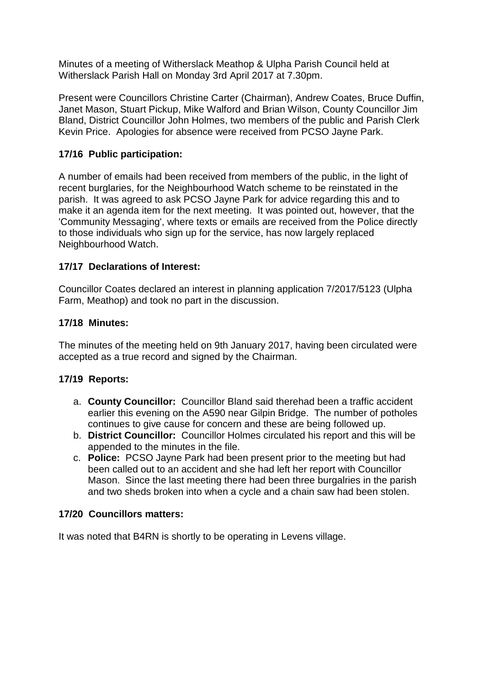Minutes of a meeting of Witherslack Meathop & Ulpha Parish Council held at Witherslack Parish Hall on Monday 3rd April 2017 at 7.30pm.

Present were Councillors Christine Carter (Chairman), Andrew Coates, Bruce Duffin, Janet Mason, Stuart Pickup, Mike Walford and Brian Wilson, County Councillor Jim Bland, District Councillor John Holmes, two members of the public and Parish Clerk Kevin Price. Apologies for absence were received from PCSO Jayne Park.

# **17/16 Public participation:**

A number of emails had been received from members of the public, in the light of recent burglaries, for the Neighbourhood Watch scheme to be reinstated in the parish. It was agreed to ask PCSO Jayne Park for advice regarding this and to make it an agenda item for the next meeting. It was pointed out, however, that the 'Community Messaging', where texts or emails are received from the Police directly to those individuals who sign up for the service, has now largely replaced Neighbourhood Watch.

# **17/17 Declarations of Interest:**

Councillor Coates declared an interest in planning application 7/2017/5123 (Ulpha Farm, Meathop) and took no part in the discussion.

# **17/18 Minutes:**

The minutes of the meeting held on 9th January 2017, having been circulated were accepted as a true record and signed by the Chairman.

## **17/19 Reports:**

- a. **County Councillor:** Councillor Bland said therehad been a traffic accident earlier this evening on the A590 near Gilpin Bridge. The number of potholes continues to give cause for concern and these are being followed up.
- b. **District Councillor:** Councillor Holmes circulated his report and this will be appended to the minutes in the file.
- c. **Police:** PCSO Jayne Park had been present prior to the meeting but had been called out to an accident and she had left her report with Councillor Mason. Since the last meeting there had been three burgalries in the parish and two sheds broken into when a cycle and a chain saw had been stolen.

## **17/20 Councillors matters:**

It was noted that B4RN is shortly to be operating in Levens village.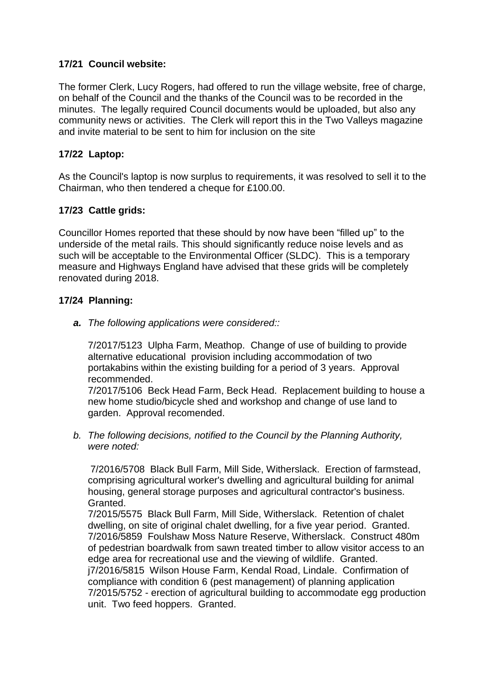# **17/21 Council website:**

The former Clerk, Lucy Rogers, had offered to run the village website, free of charge, on behalf of the Council and the thanks of the Council was to be recorded in the minutes. The legally required Council documents would be uploaded, but also any community news or activities. The Clerk will report this in the Two Valleys magazine and invite material to be sent to him for inclusion on the site

# **17/22 Laptop:**

As the Council's laptop is now surplus to requirements, it was resolved to sell it to the Chairman, who then tendered a cheque for £100.00.

# **17/23 Cattle grids:**

Councillor Homes reported that these should by now have been "filled up" to the underside of the metal rails. This should significantly reduce noise levels and as such will be acceptable to the Environmental Officer (SLDC). This is a temporary measure and Highways England have advised that these grids will be completely renovated during 2018.

# **17/24 Planning:**

*a. The following applications were considered::*

7/2017/5123 Ulpha Farm, Meathop. Change of use of building to provide alternative educational provision including accommodation of two portakabins within the existing building for a period of 3 years. Approval recommended.

7/2017/5106 Beck Head Farm, Beck Head. Replacement building to house a new home studio/bicycle shed and workshop and change of use land to garden. Approval recomended.

*b. The following decisions, notified to the Council by the Planning Authority, were noted:*

7/2016/5708 Black Bull Farm, Mill Side, Witherslack. Erection of farmstead, comprising agricultural worker's dwelling and agricultural building for animal housing, general storage purposes and agricultural contractor's business. Granted.

7/2015/5575 Black Bull Farm, Mill Side, Witherslack. Retention of chalet dwelling, on site of original chalet dwelling, for a five year period. Granted. 7/2016/5859 Foulshaw Moss Nature Reserve, Witherslack. Construct 480m of pedestrian boardwalk from sawn treated timber to allow visitor access to an edge area for recreational use and the viewing of wildlife. Granted. j7/2016/5815 Wilson House Farm, Kendal Road, Lindale. Confirmation of compliance with condition 6 (pest management) of planning application 7/2015/5752 - erection of agricultural building to accommodate egg production unit. Two feed hoppers. Granted.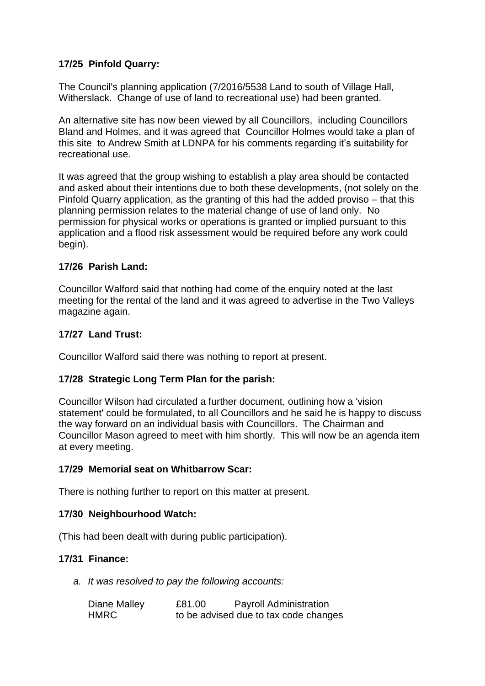# **17/25 Pinfold Quarry:**

The Council's planning application (7/2016/5538 Land to south of Village Hall, Witherslack. Change of use of land to recreational use) had been granted.

An alternative site has now been viewed by all Councillors, including Councillors Bland and Holmes, and it was agreed that Councillor Holmes would take a plan of this site to Andrew Smith at LDNPA for his comments regarding it's suitability for recreational use.

It was agreed that the group wishing to establish a play area should be contacted and asked about their intentions due to both these developments, (not solely on the Pinfold Quarry application, as the granting of this had the added proviso – that this planning permission relates to the material change of use of land only. No permission for physical works or operations is granted or implied pursuant to this application and a flood risk assessment would be required before any work could begin).

## **17/26 Parish Land:**

Councillor Walford said that nothing had come of the enquiry noted at the last meeting for the rental of the land and it was agreed to advertise in the Two Valleys magazine again.

#### **17/27 Land Trust:**

Councillor Walford said there was nothing to report at present.

## **17/28 Strategic Long Term Plan for the parish:**

Councillor Wilson had circulated a further document, outlining how a 'vision statement' could be formulated, to all Councillors and he said he is happy to discuss the way forward on an individual basis with Councillors. The Chairman and Councillor Mason agreed to meet with him shortly. This will now be an agenda item at every meeting.

#### **17/29 Memorial seat on Whitbarrow Scar:**

There is nothing further to report on this matter at present.

## **17/30 Neighbourhood Watch:**

(This had been dealt with during public participation).

## **17/31 Finance:**

*a. It was resolved to pay the following accounts:*

| Diane Malley | £81.00 | <b>Payroll Administration</b>         |
|--------------|--------|---------------------------------------|
| HMRC         |        | to be advised due to tax code changes |